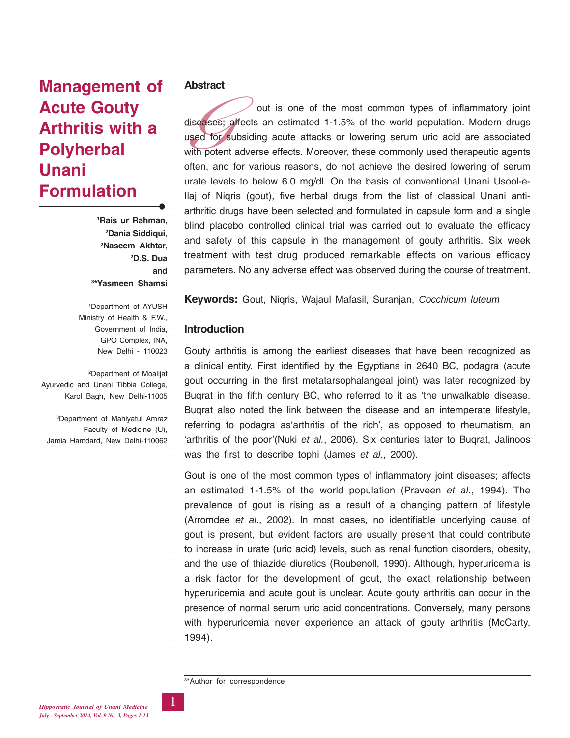# **Management of Acute Gouty Arthritis with a Polyherbal Unani Formulation**

 **Rais ur Rahman, Dania Siddiqui, Naseem Akhtar, 2 D.S. Dua and \*Yasmeen Shamsi**

○○○○○○○○○○○○○○○○○○○○○○○○○○○○○○○○○○○○○○○○○○○○○○○○○○○○○○○○

1 Department of AYUSH Ministry of Health & F.W., Government of India, GPO Complex, INA, New Delhi - 110023

2 Department of Moalijat Ayurvedic and Unani Tibbia College, Karol Bagh, New Delhi-11005

3 Department of Mahiyatul Amraz Faculty of Medicine (U), Jamia Hamdard, New Delhi-110062

#### **Abstract**

diseases<br>used for<br>with pote<br>often, ar out is one of the most common types of inflammatory joint diseases; affects an estimated 1-1.5% of the world population. Modern drugs used for subsiding acute attacks or lowering serum uric acid are associated with potent adverse effects. Moreover, these commonly used therapeutic agents often, and for various reasons, do not achieve the desired lowering of serum urate levels to below 6.0 mg/dl. On the basis of conventional Unani Usool-e-Ilaj of Niqris (gout), five herbal drugs from the list of classical Unani antiarthritic drugs have been selected and formulated in capsule form and a single blind placebo controlled clinical trial was carried out to evaluate the efficacy and safety of this capsule in the management of gouty arthritis. Six week treatment with test drug produced remarkable effects on various efficacy parameters. No any adverse effect was observed during the course of treatment.

**Keywords:** Gout, Niqris, Wajaul Mafasil, Suranjan, *Cocchicum luteum*

## **Introduction**

Gouty arthritis is among the earliest diseases that have been recognized as a clinical entity. First identified by the Egyptians in 2640 BC, podagra (acute gout occurring in the first metatarsophalangeal joint) was later recognized by Buqrat in the fifth century BC, who referred to it as 'the unwalkable disease. Buqrat also noted the link between the disease and an intemperate lifestyle, referring to podagra as'arthritis of the rich', as opposed to rheumatism, an 'arthritis of the poor'(Nuki *et al.*, 2006). Six centuries later to Buqrat, Jalinoos was the first to describe tophi (James *et al*., 2000).

Gout is one of the most common types of inflammatory joint diseases; affects an estimated 1-1.5% of the world population (Praveen *et al*., 1994). The prevalence of gout is rising as a result of a changing pattern of lifestyle (Arromdee *et al*., 2002). In most cases, no identifiable underlying cause of gout is present, but evident factors are usually present that could contribute to increase in urate (uric acid) levels, such as renal function disorders, obesity, and the use of thiazide diuretics (Roubenoll, 1990). Although, hyperuricemia is a risk factor for the development of gout, the exact relationship between hyperuricemia and acute gout is unclear. Acute gouty arthritis can occur in the presence of normal serum uric acid concentrations. Conversely, many persons with hyperuricemia never experience an attack of gouty arthritis (McCarty, 1994).

3 \*Author for correspondence

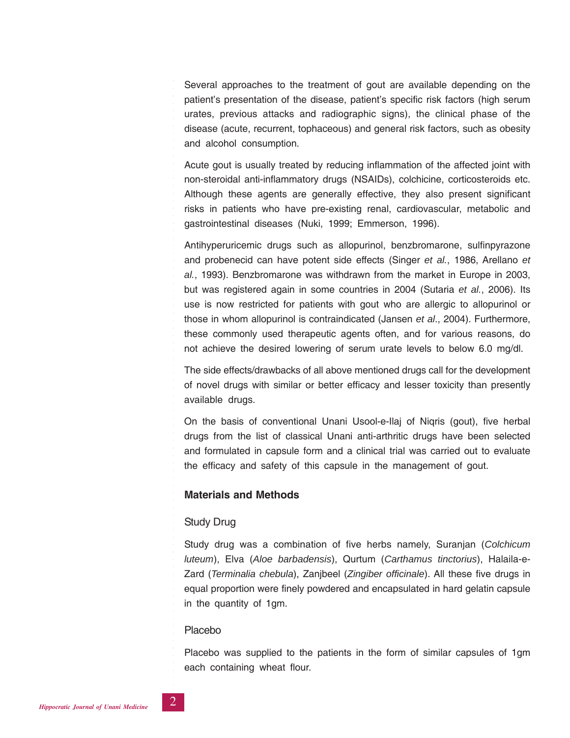Several approaches to the treatment of gout are available depending on the patient's presentation of the disease, patient's specific risk factors (high serum urates, previous attacks and radiographic signs), the clinical phase of the disease (acute, recurrent, tophaceous) and general risk factors, such as obesity and alcohol consumption.

Acute gout is usually treated by reducing inflammation of the affected joint with non-steroidal anti-inflammatory drugs (NSAIDs), colchicine, corticosteroids etc. Although these agents are generally effective, they also present significant risks in patients who have pre-existing renal, cardiovascular, metabolic and gastrointestinal diseases (Nuki, 1999; Emmerson, 1996).

Antihyperuricemic drugs such as allopurinol, benzbromarone, sulfinpyrazone and probenecid can have potent side effects (Singer *et al.*, 1986, Arellano *et al.*, 1993). Benzbromarone was withdrawn from the market in Europe in 2003, but was registered again in some countries in 2004 (Sutaria *et al.*, 2006). Its use is now restricted for patients with gout who are allergic to allopurinol or those in whom allopurinol is contraindicated (Jansen *et al*., 2004). Furthermore, these commonly used therapeutic agents often, and for various reasons, do not achieve the desired lowering of serum urate levels to below 6.0 mg/dl.

The side effects/drawbacks of all above mentioned drugs call for the development of novel drugs with similar or better efficacy and lesser toxicity than presently available drugs.

On the basis of conventional Unani Usool-e-Ilaj of Niqris (gout), five herbal drugs from the list of classical Unani anti-arthritic drugs have been selected and formulated in capsule form and a clinical trial was carried out to evaluate the efficacy and safety of this capsule in the management of gout.

### **Materials and Methods**

#### Study Drug

○○○○○○○○○○○○○○○○○○○○○○○○○○○○○○○○○○○○○○○○○○○○○○○○○○○○○○○○

Study drug was a combination of five herbs namely, Suranjan (*Colchicum luteum*), Elva (*Aloe barbadensis*), Qurtum (*Carthamus tinctorius*), Halaila-e-Zard (*Terminalia chebula*), Zanjbeel (*Zingiber officinale*). All these five drugs in equal proportion were finely powdered and encapsulated in hard gelatin capsule in the quantity of 1gm.

#### Placebo

Placebo was supplied to the patients in the form of similar capsules of 1gm each containing wheat flour.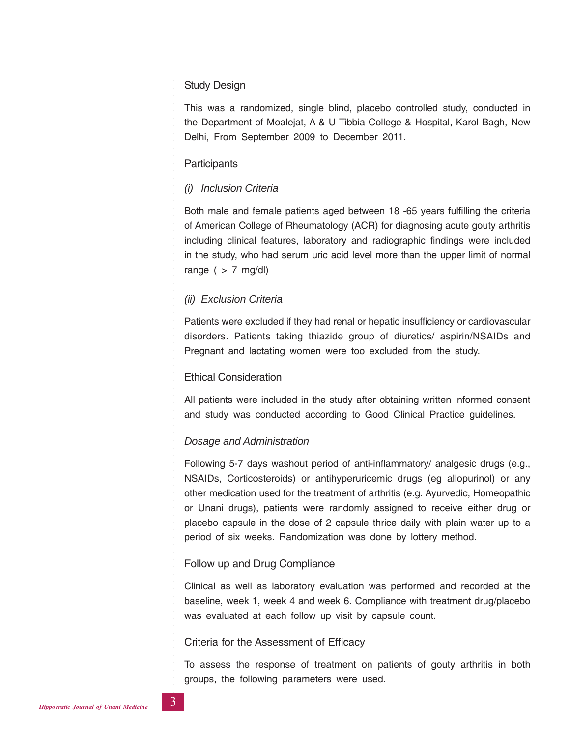## Study Design

This was a randomized, single blind, placebo controlled study, conducted in the Department of Moalejat, A & U Tibbia College & Hospital, Karol Bagh, New Delhi, From September 2009 to December 2011.

# **Participants**

○○○○○○○○○○○○○○○○○○○○○○○○○○○○○○○○○○○○○○○○○○○○○○○○○○○○○○○○

# *(i) Inclusion Criteria*

Both male and female patients aged between 18 -65 years fulfilling the criteria of American College of Rheumatology (ACR) for diagnosing acute gouty arthritis including clinical features, laboratory and radiographic findings were included in the study, who had serum uric acid level more than the upper limit of normal range ( $> 7$  mg/dl)

# *(ii) Exclusion Criteria*

Patients were excluded if they had renal or hepatic insufficiency or cardiovascular disorders. Patients taking thiazide group of diuretics/ aspirin/NSAIDs and Pregnant and lactating women were too excluded from the study.

# Ethical Consideration

All patients were included in the study after obtaining written informed consent and study was conducted according to Good Clinical Practice guidelines.

# *Dosage and Administration*

Following 5-7 days washout period of anti-inflammatory/ analgesic drugs (e.g., NSAIDs, Corticosteroids) or antihyperuricemic drugs (eg allopurinol) or any other medication used for the treatment of arthritis (e.g. Ayurvedic, Homeopathic or Unani drugs), patients were randomly assigned to receive either drug or placebo capsule in the dose of 2 capsule thrice daily with plain water up to a period of six weeks. Randomization was done by lottery method.

# Follow up and Drug Compliance

Clinical as well as laboratory evaluation was performed and recorded at the baseline, week 1, week 4 and week 6. Compliance with treatment drug/placebo was evaluated at each follow up visit by capsule count.

### Criteria for the Assessment of Efficacy

To assess the response of treatment on patients of gouty arthritis in both groups, the following parameters were used.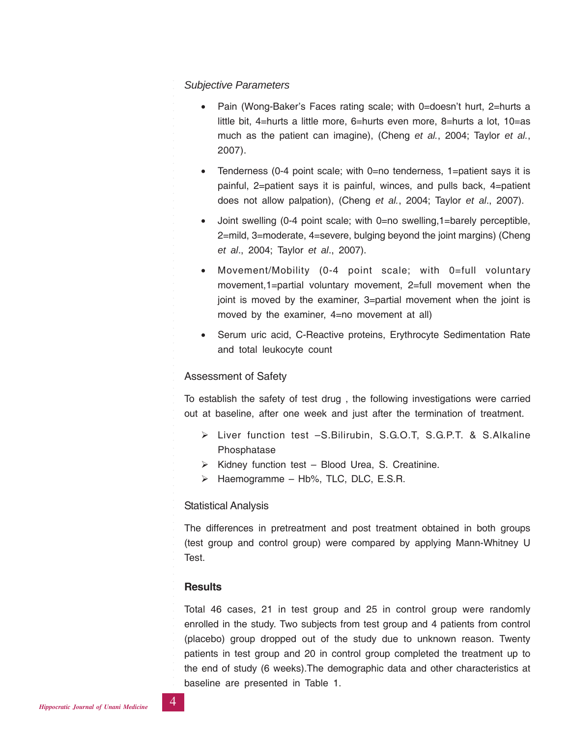#### *Subjective Parameters*

- Pain (Wong-Baker's Faces rating scale; with 0=doesn't hurt, 2=hurts a little bit, 4=hurts a little more, 6=hurts even more, 8=hurts a lot, 10=as much as the patient can imagine), (Cheng *et al.*, 2004; Taylor *et al.*, 2007).
- Tenderness (0-4 point scale; with 0=no tenderness, 1=patient says it is painful, 2=patient says it is painful, winces, and pulls back, 4=patient does not allow palpation), (Cheng *et al.*, 2004; Taylor *et al*., 2007).
- Joint swelling (0-4 point scale; with 0=no swelling, 1=barely perceptible, 2=mild, 3=moderate, 4=severe, bulging beyond the joint margins) (Cheng *et al*., 2004; Taylor *et al*., 2007).
- Movement/Mobility (0-4 point scale; with 0=full voluntary movement,1=partial voluntary movement, 2=full movement when the joint is moved by the examiner, 3=partial movement when the joint is moved by the examiner, 4=no movement at all)
- Serum uric acid, C-Reactive proteins, Erythrocyte Sedimentation Rate and total leukocyte count

#### Assessment of Safety

○○○○○○○○○○○○○○○○○○○○○○○○○○○○○○○○○○○○○○○○○○○○○○○○○○○○○○○○

To establish the safety of test drug , the following investigations were carried out at baseline, after one week and just after the termination of treatment.

- > Liver function test -S.Bilirubin, S.G.O.T, S.G.P.T. & S.Alkaline Phosphatase
- > Kidney function test Blood Urea, S. Creatinine.
- > Haemogramme Hb%, TLC, DLC, E.S.R.

#### Statistical Analysis

The differences in pretreatment and post treatment obtained in both groups (test group and control group) were compared by applying Mann-Whitney U Test.

#### **Results**

Total 46 cases, 21 in test group and 25 in control group were randomly enrolled in the study. Two subjects from test group and 4 patients from control (placebo) group dropped out of the study due to unknown reason. Twenty patients in test group and 20 in control group completed the treatment up to the end of study (6 weeks).The demographic data and other characteristics at baseline are presented in Table 1.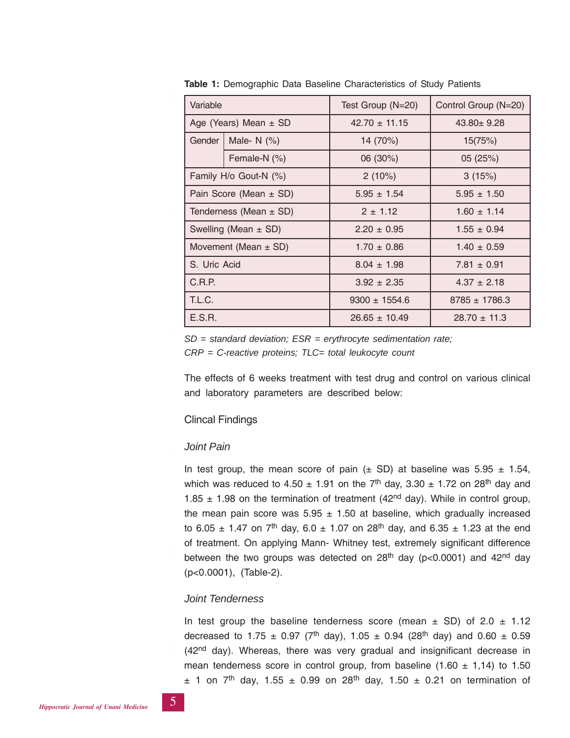| Variable     |                            | Test Group (N=20) | Control Group (N=20)                                  |  |
|--------------|----------------------------|-------------------|-------------------------------------------------------|--|
|              | Age (Years) Mean $\pm$ SD  | $42.70 \pm 11.15$ | $43.80 \pm 9.28$                                      |  |
| Gender       | Male-N (%)                 | 14 (70%)          | 15(75%)                                               |  |
|              | Female-N (%)               | 06 (30%)          | 05 (25%)                                              |  |
|              | Family H/o Gout-N (%)      | 2(10%)            | 3(15%)                                                |  |
|              | Pain Score (Mean $\pm$ SD) | $5.95 \pm 1.54$   | $5.95 \pm 1.50$<br>$1.60 \pm 1.14$<br>$1.55 \pm 0.94$ |  |
|              | Tenderness (Mean $\pm$ SD) | $2 \pm 1.12$      |                                                       |  |
|              | Swelling (Mean $\pm$ SD)   | $2.20 \pm 0.95$   |                                                       |  |
|              | Movement (Mean $\pm$ SD)   | $1.70 \pm 0.86$   | $1.40 \pm 0.59$                                       |  |
| S. Uric Acid |                            | $8.04 \pm 1.98$   | $7.81 \pm 0.91$                                       |  |
| C.R.P.       |                            | $3.92 \pm 2.35$   | $4.37 \pm 2.18$                                       |  |
| T.L.C.       |                            | $9300 \pm 1554.6$ | $8785 \pm 1786.3$                                     |  |
| E.S.R.       |                            | $26.65 \pm 10.49$ | $28.70 \pm 11.3$                                      |  |

**Table 1:** Demographic Data Baseline Characteristics of Study Patients

*SD = standard deviation; ESR = erythrocyte sedimentation rate;*

*CRP = C-reactive proteins; TLC= total leukocyte count*

The effects of 6 weeks treatment with test drug and control on various clinical and laboratory parameters are described below:

### Clincal Findings

### *Joint Pain*

○○○○○○○○○○○○○○○○○○○○○○○○○○○○○○○○○○○○○○○○○○○○○○○○○○○○○○○○

In test group, the mean score of pain ( $\pm$  SD) at baseline was 5.95  $\pm$  1.54, which was reduced to 4.50  $\pm$  1.91 on the 7<sup>th</sup> day, 3.30  $\pm$  1.72 on 28<sup>th</sup> day and 1.85  $\pm$  1.98 on the termination of treatment (42<sup>nd</sup> day). While in control group, the mean pain score was  $5.95 \pm 1.50$  at baseline, which gradually increased to 6.05  $\pm$  1.47 on 7<sup>th</sup> day, 6.0  $\pm$  1.07 on 28<sup>th</sup> day, and 6.35  $\pm$  1.23 at the end of treatment. On applying Mann- Whitney test, extremely significant difference between the two groups was detected on 28<sup>th</sup> day ( $p$ <0.0001) and 42<sup>nd</sup> day (p<0.0001), (Table-2).

### *Joint Tenderness*

In test group the baseline tenderness score (mean  $\pm$  SD) of 2.0  $\pm$  1.12 decreased to 1.75  $\pm$  0.97 (7<sup>th</sup> day), 1.05  $\pm$  0.94 (28<sup>th</sup> day) and 0.60  $\pm$  0.59 (42<sup>nd</sup> day). Whereas, there was very gradual and insignificant decrease in mean tenderness score in control group, from baseline  $(1.60 \pm 1.14)$  to 1.50  $\pm$  1 on 7<sup>th</sup> day, 1.55  $\pm$  0.99 on 28<sup>th</sup> day, 1.50  $\pm$  0.21 on termination of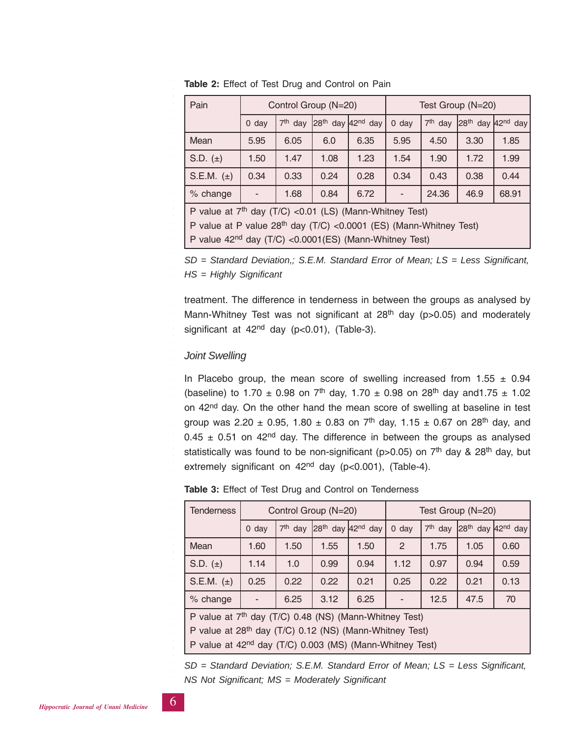| Pain                                                                 |         |                     | Control Group (N=20)                      |      | Test Group (N=20) |                     |                       |       |
|----------------------------------------------------------------------|---------|---------------------|-------------------------------------------|------|-------------------|---------------------|-----------------------|-------|
|                                                                      | $0$ day | 7 <sup>th</sup> day | 28 <sup>th</sup> day 42 <sup>nd</sup> day |      | $0$ day           | 7 <sup>th</sup> day | $28th$ day $42nd$ day |       |
| Mean                                                                 | 5.95    | 6.05                | 6.0                                       | 6.35 | 5.95              | 4.50                | 3.30                  | 1.85  |
| S.D. $(\pm)$                                                         | 1.50    | 1.47                | 1.08                                      | 1.23 | 1.54              | 1.90                | 1.72                  | 1.99  |
| S.E.M. $(\pm)$                                                       | 0.34    | 0.33                | 0.24                                      | 0.28 | 0.34              | 0.43                | 0.38                  | 0.44  |
| 0.84<br>6.72<br>24.36<br>% change<br>1.68<br>٠                       |         |                     |                                           |      |                   |                     | 46.9                  | 68.91 |
| P value at 7 <sup>th</sup> day (T/C) < 0.01 (LS) (Mann-Whitney Test) |         |                     |                                           |      |                   |                     |                       |       |

**Table 2:** Effect of Test Drug and Control on Pain

P value at P value 28<sup>th</sup> day (T/C) <0.0001 (ES) (Mann-Whitney Test) P value 42nd day (T/C) <0.0001(ES) (Mann-Whitney Test)

*SD = Standard Deviation,; S.E.M. Standard Error of Mean; LS = Less Significant,*

*HS = Highly Significant*

treatment. The difference in tenderness in between the groups as analysed by Mann-Whitney Test was not significant at  $28<sup>th</sup>$  day (p>0.05) and moderately significant at  $42<sup>nd</sup>$  day (p<0.01), (Table-3).

# *Joint Swelling*

○○○○○○○○○○○○○○○○○○○○○○○○○○○○○○○○○○○○○○○○○○○○○○○○○○○○○○○○

In Placebo group, the mean score of swelling increased from  $1.55 \pm 0.94$ (baseline) to 1.70  $\pm$  0.98 on 7<sup>th</sup> day, 1.70  $\pm$  0.98 on 28<sup>th</sup> day and 1.75  $\pm$  1.02 on 42<sup>nd</sup> day. On the other hand the mean score of swelling at baseline in test group was 2.20  $\pm$  0.95, 1.80  $\pm$  0.83 on 7<sup>th</sup> day, 1.15  $\pm$  0.67 on 28<sup>th</sup> day, and  $0.45 \pm 0.51$  on 42<sup>nd</sup> day. The difference in between the groups as analysed statistically was found to be non-significant ( $p>0.05$ ) on  $7<sup>th</sup>$  day & 28<sup>th</sup> day, but extremely significant on  $42<sup>nd</sup>$  day (p<0.001), (Table-4).

**Table 3:** Effect of Test Drug and Control on Tenderness

| <b>Tenderness</b> |                                                                                                                                                                                                                   |           | Control Group (N=20) |                                           | Test Group (N=20) |           |                                           |      |
|-------------------|-------------------------------------------------------------------------------------------------------------------------------------------------------------------------------------------------------------------|-----------|----------------------|-------------------------------------------|-------------------|-----------|-------------------------------------------|------|
|                   | $0$ day                                                                                                                                                                                                           | $7th$ day |                      | 28 <sup>th</sup> day 42 <sup>nd</sup> day | $0$ day           | $7th$ day | 28 <sup>th</sup> day 42 <sup>nd</sup> day |      |
| Mean              | 1.60                                                                                                                                                                                                              | 1.50      | 1.55                 | 1.50                                      | $\mathcal{P}$     | 1.75      | 1.05                                      | 0.60 |
| S.D. $(\pm)$      | 1.14                                                                                                                                                                                                              | 1.0       | 0.99                 | 0.94                                      | 1.12              | 0.97      | 0.94                                      | 0.59 |
| S.E.M. $(\pm)$    | 0.25                                                                                                                                                                                                              | 0.22      | 0.22                 | 0.21                                      | 0.25              | 0.22      | 0.21                                      | 0.13 |
| % change          |                                                                                                                                                                                                                   | 6.25      | 3.12                 | 6.25                                      |                   | 12.5      | 47.5                                      | 70   |
|                   | P value at 7 <sup>th</sup> day (T/C) 0.48 (NS) (Mann-Whitney Test)<br>P value at 28 <sup>th</sup> day (T/C) 0.12 (NS) (Mann-Whitney Test)<br>P value at 42 <sup>nd</sup> day (T/C) 0.003 (MS) (Mann-Whitney Test) |           |                      |                                           |                   |           |                                           |      |

*SD = Standard Deviation; S.E.M. Standard Error of Mean; LS = Less Significant, NS Not Significant; MS = Moderately Significant*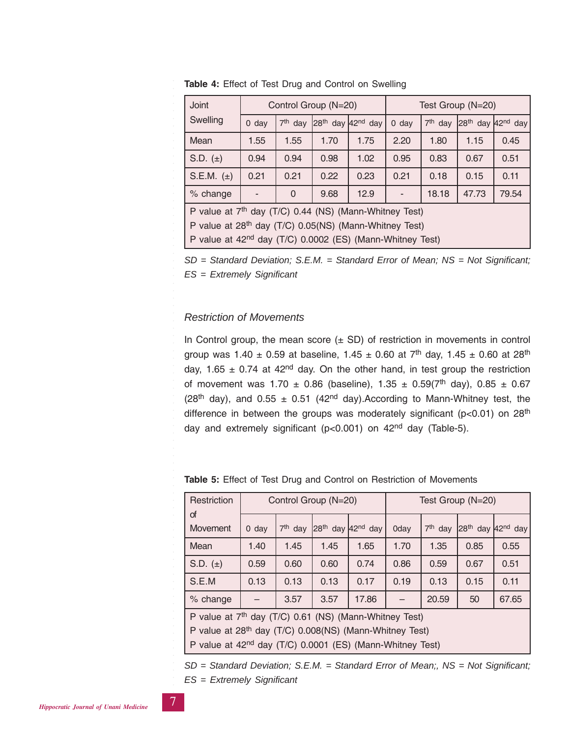| <b>Joint</b>                                                       | Control Group (N=20) |           |                                           |      | Test Group (N=20) |           |                       |       |
|--------------------------------------------------------------------|----------------------|-----------|-------------------------------------------|------|-------------------|-----------|-----------------------|-------|
| Swelling                                                           | $0$ day              | $7th$ day | 28 <sup>th</sup> day 42 <sup>nd</sup> day |      | $0$ day           | $7th$ day | $28th$ day $42nd$ day |       |
| Mean                                                               | 1.55                 | 1.55      | 1.70                                      | 1.75 | 2.20              | 1.80      | 1.15                  | 0.45  |
| S.D. $(\pm)$                                                       | 0.94                 | 0.94      | 0.98                                      | 1.02 | 0.95              | 0.83      | 0.67                  | 0.51  |
| S.E.M. $(\pm)$                                                     | 0.21                 | 0.21      | 0.22                                      | 0.23 | 0.21              | 0.18      | 0.15                  | 0.11  |
| % change                                                           |                      | $\Omega$  | 9.68                                      | 12.9 |                   | 18.18     | 47.73                 | 79.54 |
| P value at 7 <sup>th</sup> day (T/C) 0.44 (NS) (Mann-Whitney Test) |                      |           |                                           |      |                   |           |                       |       |
| P value at 28 <sup>th</sup> day (T/C) 0.05(NS) (Mann-Whitney Test) |                      |           |                                           |      |                   |           |                       |       |

**Table 4:** Effect of Test Drug and Control on Swelling

P value at 42nd day (T/C) 0.0002 (ES) (Mann-Whitney Test)

*SD = Standard Deviation; S.E.M. = Standard Error of Mean; NS = Not Significant; ES = Extremely Significant*

## *Restriction of Movements*

○○○○○○○○○○○○○○○○○○○○○○○○○○○○○○○○○○○○○○○○○○○○○○○○○○○○○○○○

In Control group, the mean score  $(\pm$  SD) of restriction in movements in control group was 1.40  $\pm$  0.59 at baseline, 1.45  $\pm$  0.60 at 7<sup>th</sup> day, 1.45  $\pm$  0.60 at 28<sup>th</sup> day, 1.65  $\pm$  0.74 at 42<sup>nd</sup> day. On the other hand, in test group the restriction of movement was  $1.70 \pm 0.86$  (baseline),  $1.35 \pm 0.59(7^{\text{th}}$  day),  $0.85 \pm 0.67$ (28<sup>th</sup> day), and 0.55  $\pm$  0.51 (42<sup>nd</sup> day). According to Mann-Whitney test, the difference in between the groups was moderately significant ( $p < 0.01$ ) on 28<sup>th</sup> day and extremely significant ( $p < 0.001$ ) on  $42<sup>nd</sup>$  day (Table-5).

| Restriction                                                           |         |           | Control Group (N=20)  |       | Test Group (N=20) |           |                                           |       |
|-----------------------------------------------------------------------|---------|-----------|-----------------------|-------|-------------------|-----------|-------------------------------------------|-------|
| of<br>Movement                                                        | $0$ day | $7th$ day | $28th$ day $42nd$ day |       | 0day              | $7th$ day | 28 <sup>th</sup> day 42 <sup>nd</sup> day |       |
|                                                                       |         |           |                       |       |                   |           |                                           |       |
| Mean                                                                  | 1.40    | 1.45      | 1.45                  | 1.65  | 1.70              | 1.35      | 0.85                                      | 0.55  |
| S.D. $(\pm)$                                                          | 0.59    | 0.60      | 0.60                  | 0.74  | 0.86              | 0.59      | 0.67                                      | 0.51  |
| S.E.M                                                                 | 0.13    | 0.13      | 0.13                  | 0.17  | 0.19              | 0.13      | 0.15                                      | 0.11  |
| % change                                                              |         | 3.57      | 3.57                  | 17.86 |                   | 20.59     | 50                                        | 67.65 |
| P value at 7 <sup>th</sup> day (T/C) 0.61 (NS) (Mann-Whitney Test)    |         |           |                       |       |                   |           |                                           |       |
| P value at 28 <sup>th</sup> day (T/C) 0.008(NS) (Mann-Whitney Test)   |         |           |                       |       |                   |           |                                           |       |
| P value at 42 <sup>nd</sup> day (T/C) 0.0001 (ES) (Mann-Whitney Test) |         |           |                       |       |                   |           |                                           |       |
|                                                                       |         |           |                       |       |                   |           |                                           |       |

**Table 5:** Effect of Test Drug and Control on Restriction of Movements

*SD = Standard Deviation; S.E.M. = Standard Error of Mean;, NS = Not Significant;*

*ES = Extremely Significant*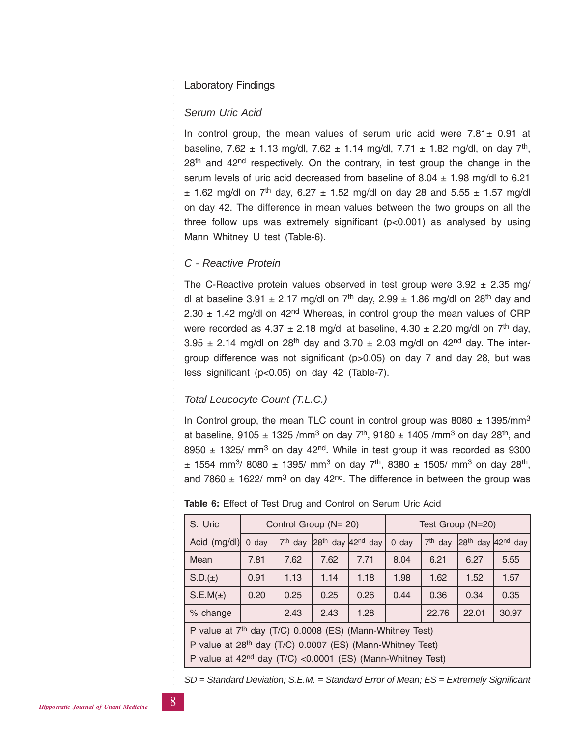## Laboratory Findings

#### *Serum Uric Acid*

In control group, the mean values of serum uric acid were  $7.81 \pm 0.91$  at baseline, 7.62  $\pm$  1.13 mg/dl, 7.62  $\pm$  1.14 mg/dl, 7.71  $\pm$  1.82 mg/dl, on day 7<sup>th</sup>,  $28<sup>th</sup>$  and  $42<sup>nd</sup>$  respectively. On the contrary, in test group the change in the serum levels of uric acid decreased from baseline of  $8.04 \pm 1.98$  mg/dl to 6.21  $\pm$  1.62 mg/dl on 7<sup>th</sup> day, 6.27  $\pm$  1.52 mg/dl on day 28 and 5.55  $\pm$  1.57 mg/dl on day 42. The difference in mean values between the two groups on all the three follow ups was extremely significant (p<0.001) as analysed by using Mann Whitney U test (Table-6).

## *C - Reactive Protein*

○○○○○○○○○○○○○○○○○○○○○○○○○○○○○○○○○○○○○○○○○○○○○○○○○○○○○○○○

The C-Reactive protein values observed in test group were  $3.92 \pm 2.35$  mg/ dl at baseline 3.91  $\pm$  2.17 mg/dl on 7<sup>th</sup> day, 2.99  $\pm$  1.86 mg/dl on 28<sup>th</sup> day and 2.30  $\pm$  1.42 mg/dl on 42<sup>nd</sup> Whereas, in control group the mean values of CRP were recorded as  $4.37 \pm 2.18$  mg/dl at baseline,  $4.30 \pm 2.20$  mg/dl on  $7^{\text{th}}$  day, 3.95  $\pm$  2.14 mg/dl on 28<sup>th</sup> day and 3.70  $\pm$  2.03 mg/dl on 42<sup>nd</sup> day. The intergroup difference was not significant (p>0.05) on day 7 and day 28, but was less significant (p<0.05) on day 42 (Table-7).

## *Total Leucocyte Count (T.L.C.)*

In Control group, the mean TLC count in control group was  $8080 \pm 1395$ /mm<sup>3</sup> at baseline, 9105  $\pm$  1325 /mm<sup>3</sup> on day 7<sup>th</sup>, 9180  $\pm$  1405 /mm<sup>3</sup> on day 28<sup>th</sup>, and 8950  $\pm$  1325/ mm<sup>3</sup> on day 42<sup>nd</sup>. While in test group it was recorded as 9300  $\pm$  1554 mm<sup>3</sup>/ 8080  $\pm$  1395/ mm<sup>3</sup> on day 7<sup>th</sup>, 8380  $\pm$  1505/ mm<sup>3</sup> on day 28<sup>th</sup>, and 7860  $\pm$  1622/ mm<sup>3</sup> on day 42<sup>nd</sup>. The difference in between the group was

| S. Uric      |                                                                                                                                                                                                                         |           | Control Group (N= 20) |                                           | Test Group (N=20) |                     |       |                       |
|--------------|-------------------------------------------------------------------------------------------------------------------------------------------------------------------------------------------------------------------------|-----------|-----------------------|-------------------------------------------|-------------------|---------------------|-------|-----------------------|
| Acid (mg/dl) | $0$ day                                                                                                                                                                                                                 | $7th$ day |                       | 28 <sup>th</sup> day 42 <sup>nd</sup> day | $0$ day           | 7 <sup>th</sup> day |       | $28th$ day $42nd$ day |
| Mean         | 7.81                                                                                                                                                                                                                    | 7.62      | 7.62                  | 7.71                                      | 8.04              | 6.21                | 6.27  | 5.55                  |
| $S.D.(\pm)$  | 0.91                                                                                                                                                                                                                    | 1.13      | 1.14                  | 1.18                                      | 1.98              | 1.62                | 1.52  | 1.57                  |
| S.E.M(±)     | 0.20                                                                                                                                                                                                                    | 0.25      | 0.25                  | 0.26                                      | 0.44              | 0.36                | 0.34  | 0.35                  |
| % change     |                                                                                                                                                                                                                         | 2.43      | 2.43                  | 1.28                                      |                   | 22.76               | 22.01 | 30.97                 |
|              | P value at 7 <sup>th</sup> day (T/C) 0.0008 (ES) (Mann-Whitney Test)<br>P value at 28 <sup>th</sup> day (T/C) 0.0007 (ES) (Mann-Whitney Test)<br>P value at 42 <sup>nd</sup> day (T/C) <0.0001 (ES) (Mann-Whitney Test) |           |                       |                                           |                   |                     |       |                       |

#### **Table 6:** Effect of Test Drug and Control on Serum Uric Acid

*SD = Standard Deviation; S.E.M. = Standard Error of Mean; ES = Extremely Significant*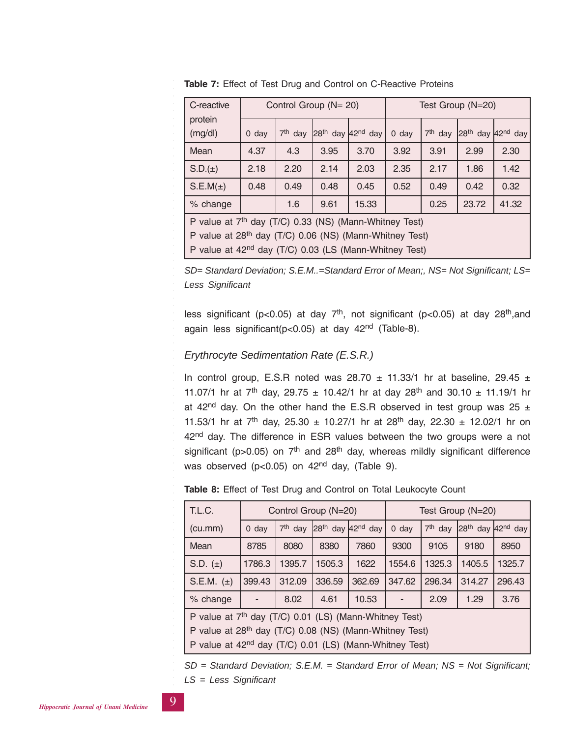| C-reactive                                                         |                                                                    |                                                                     | Control Group (N= 20) |                                           | Test Group (N=20) |           |                                           |       |
|--------------------------------------------------------------------|--------------------------------------------------------------------|---------------------------------------------------------------------|-----------------------|-------------------------------------------|-------------------|-----------|-------------------------------------------|-------|
| protein<br>(mg/dl)                                                 | $0$ day                                                            | $7th$ day                                                           |                       | 28 <sup>th</sup> day 42 <sup>nd</sup> day | $0$ day           | $7th$ day | 28 <sup>th</sup> day 42 <sup>nd</sup> day |       |
| Mean                                                               | 4.37                                                               | 4.3                                                                 | 3.95                  | 3.70                                      | 3.92              | 3.91      | 2.99                                      | 2.30  |
| $S.D.(\pm)$                                                        | 2.18                                                               | 2.20                                                                | 2.14                  | 2.03                                      | 2.35              | 2.17      | 1.86                                      | 1.42  |
| $S.E.M(\pm)$                                                       | 0.48                                                               | 0.49                                                                | 0.48                  | 0.45                                      | 0.52              | 0.49      | 0.42                                      | 0.32  |
| % change                                                           |                                                                    | 1.6                                                                 | 9.61                  | 15.33                                     |                   | 0.25      | 23.72                                     | 41.32 |
|                                                                    | P value at 7 <sup>th</sup> day (T/C) 0.33 (NS) (Mann-Whitney Test) |                                                                     |                       |                                           |                   |           |                                           |       |
|                                                                    |                                                                    | P value at 28 <sup>th</sup> day (T/C) 0.06 (NS) (Mann-Whitney Test) |                       |                                           |                   |           |                                           |       |
| P value at 42 <sup>nd</sup> day (T/C) 0.03 (LS (Mann-Whitney Test) |                                                                    |                                                                     |                       |                                           |                   |           |                                           |       |

**Table 7:** Effect of Test Drug and Control on C-Reactive Proteins

*SD= Standard Deviation; S.E.M..=Standard Error of Mean;, NS= Not Significant; LS= Less Significant*

less significant ( $p < 0.05$ ) at day  $7<sup>th</sup>$ , not significant ( $p < 0.05$ ) at day  $28<sup>th</sup>$ , and again less significant(p<0.05) at day 42nd (Table-8).

# *Erythrocyte Sedimentation Rate (E.S.R.)*

In control group, E.S.R noted was 28.70  $\pm$  11.33/1 hr at baseline, 29.45  $\pm$ 11.07/1 hr at  $7^{th}$  day, 29.75  $\pm$  10.42/1 hr at day 28<sup>th</sup> and 30.10  $\pm$  11.19/1 hr at 42<sup>nd</sup> day. On the other hand the E.S.R observed in test group was 25  $\pm$ 11.53/1 hr at 7<sup>th</sup> day, 25.30  $\pm$  10.27/1 hr at 28<sup>th</sup> day, 22.30  $\pm$  12.02/1 hr on 42<sup>nd</sup> day. The difference in ESR values between the two groups were a not significant ( $p > 0.05$ ) on  $7<sup>th</sup>$  and  $28<sup>th</sup>$  day, whereas mildly significant difference was observed (p<0.05) on 42<sup>nd</sup> day, (Table 9).

|  | <b>Table 8:</b> Effect of Test Drug and Control on Total Leukocyte Count |
|--|--------------------------------------------------------------------------|
|--|--------------------------------------------------------------------------|

| T.L.C.                                                                                                                                                                                                           |         |           | Control Group (N=20) |                                           | Test Group (N=20) |                     |        |                                           |
|------------------------------------------------------------------------------------------------------------------------------------------------------------------------------------------------------------------|---------|-----------|----------------------|-------------------------------------------|-------------------|---------------------|--------|-------------------------------------------|
| (cu.mm)                                                                                                                                                                                                          | $0$ day | $7th$ day |                      | 28 <sup>th</sup> day 42 <sup>nd</sup> day | $0$ day           | 7 <sup>th</sup> day |        | 28 <sup>th</sup> day 42 <sup>nd</sup> day |
| Mean                                                                                                                                                                                                             | 8785    | 8080      | 8380                 | 7860                                      | 9300              | 9105                | 9180   | 8950                                      |
| S.D. $(\pm)$                                                                                                                                                                                                     | 1786.3  | 1395.7    | 1505.3               | 1622                                      | 1554.6            | 1325.3              | 1405.5 | 1325.7                                    |
| S.E.M. $(\pm)$                                                                                                                                                                                                   | 399.43  | 312.09    | 336.59               | 362.69                                    | 347.62            | 296.34              | 314.27 | 296.43                                    |
| % change                                                                                                                                                                                                         |         | 8.02      | 4.61                 | 10.53                                     |                   | 2.09                | 1.29   | 3.76                                      |
| P value at 7 <sup>th</sup> day (T/C) 0.01 (LS) (Mann-Whitney Test)<br>P value at 28 <sup>th</sup> day (T/C) 0.08 (NS) (Mann-Whitney Test)<br>P value at 42 <sup>nd</sup> day (T/C) 0.01 (LS) (Mann-Whitney Test) |         |           |                      |                                           |                   |                     |        |                                           |

*SD = Standard Deviation; S.E.M. = Standard Error of Mean; NS = Not Significant; LS = Less Significant*

○○○○○○○○○○○○○○○○○○○○○○○○○○○

○○○○○○○○○○○○○○○○○○○○○○○○○○○○○○○○○○○○○○○○○○○○○○○○○○○○○○○○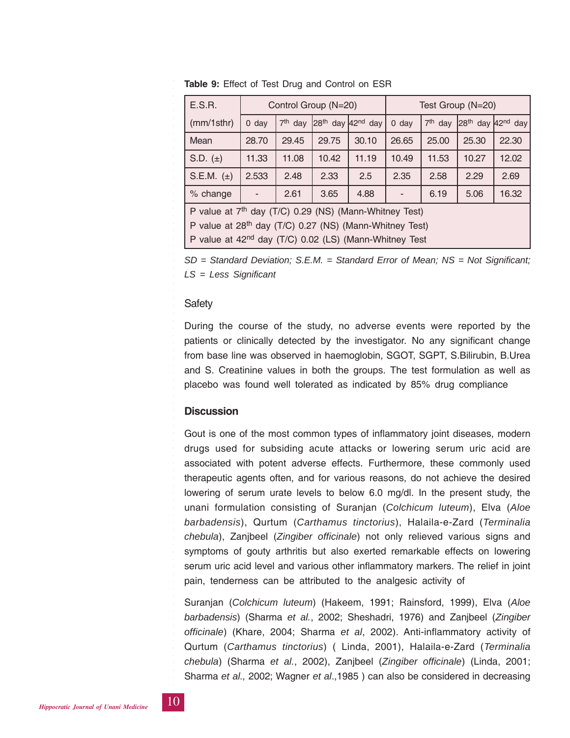|                                                  | E.S.R.                                                              |                                                                    |           | Control Group (N=20)                      |       | Test Group (N=20) |           |                       |       |
|--------------------------------------------------|---------------------------------------------------------------------|--------------------------------------------------------------------|-----------|-------------------------------------------|-------|-------------------|-----------|-----------------------|-------|
|                                                  | (mm/1sthr)                                                          | $0$ day                                                            | $7th$ day | 28 <sup>th</sup> day 42 <sup>nd</sup> day |       | $0$ day           | $7th$ day | $28th$ day $42nd$ day |       |
|                                                  | Mean                                                                | 28.70                                                              | 29.45     | 29.75                                     | 30.10 | 26.65             | 25.00     | 25.30                 | 22.30 |
|                                                  | S.D. $(\pm)$                                                        | 11.33                                                              | 11.08     | 10.42                                     | 11.19 | 10.49             | 11.53     | 10.27                 | 12.02 |
|                                                  | S.E.M. $(\pm)$                                                      | 2.533                                                              | 2.48      | 2.33                                      | 2.5   | 2.35              | 2.58      | 2.29                  | 2.69  |
| % change<br>2.61<br>3.65<br>4.88<br>5.06<br>6.19 |                                                                     |                                                                    |           |                                           |       | 16.32             |           |                       |       |
|                                                  |                                                                     | P value at 7 <sup>th</sup> day (T/C) 0.29 (NS) (Mann-Whitney Test) |           |                                           |       |                   |           |                       |       |
|                                                  | P value at 28 <sup>th</sup> day (T/C) 0.27 (NS) (Mann-Whitney Test) |                                                                    |           |                                           |       |                   |           |                       |       |

**Table 9:** Effect of Test Drug and Control on ESR

P value at 42nd day (T/C) 0.02 (LS) (Mann-Whitney Test

*SD = Standard Deviation; S.E.M. = Standard Error of Mean; NS = Not Significant; LS = Less Significant*

## **Safety**

○○○○○○○○○○○○○○○○○○○○○○○○○○○○○○○○○○○○○○○○○○○○○○○○○○○○○○○○

During the course of the study, no adverse events were reported by the patients or clinically detected by the investigator. No any significant change from base line was observed in haemoglobin, SGOT, SGPT, S.Bilirubin, B.Urea and S. Creatinine values in both the groups. The test formulation as well as placebo was found well tolerated as indicated by 85% drug compliance

# **Discussion**

Gout is one of the most common types of inflammatory joint diseases, modern drugs used for subsiding acute attacks or lowering serum uric acid are associated with potent adverse effects. Furthermore, these commonly used therapeutic agents often, and for various reasons, do not achieve the desired lowering of serum urate levels to below 6.0 mg/dl. In the present study, the unani formulation consisting of Suranjan (*Colchicum luteum*), Elva (*Aloe barbadensis*), Qurtum (*Carthamus tinctorius*), Halaila-e-Zard (*Terminalia chebula*), Zanjbeel (*Zingiber officinale*) not only relieved various signs and symptoms of gouty arthritis but also exerted remarkable effects on lowering serum uric acid level and various other inflammatory markers. The relief in joint pain, tenderness can be attributed to the analgesic activity of

Suranjan (*Colchicum luteum*) (Hakeem, 1991; Rainsford, 1999), Elva (*Aloe barbadensis*) (Sharma *et al.*, 2002; Sheshadri, 1976) and Zanjbeel (*Zingiber officinale*) (Khare, 2004; Sharma *et al*, 2002). Anti-inflammatory activity of Qurtum (*Carthamus tinctorius*) ( Linda, 2001), Halaila-e-Zard (*Terminalia chebula*) (Sharma *et al.*, 2002), Zanjbeel (*Zingiber officinale*) (Linda, 2001; Sharma *et al.,* 2002; Wagner *et al*.,1985 ) can also be considered in decreasing

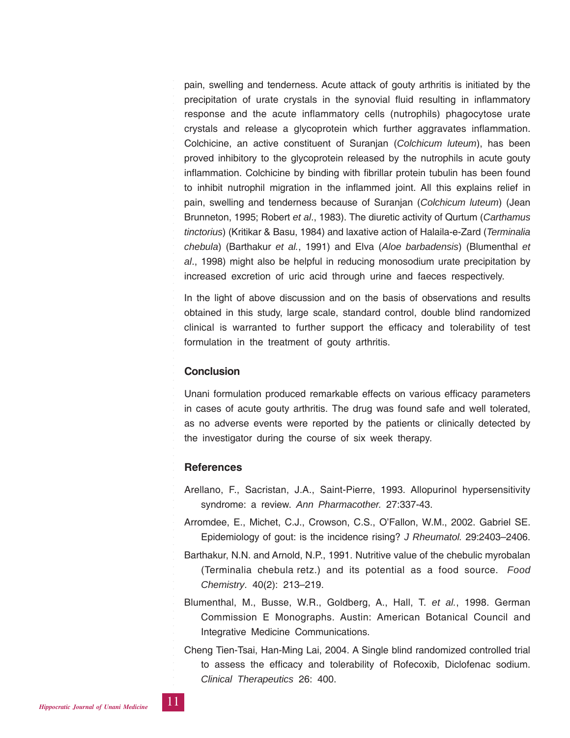pain, swelling and tenderness. Acute attack of gouty arthritis is initiated by the precipitation of urate crystals in the synovial fluid resulting in inflammatory response and the acute inflammatory cells (nutrophils) phagocytose urate crystals and release a glycoprotein which further aggravates inflammation. Colchicine, an active constituent of Suranjan (*Colchicum luteum*), has been proved inhibitory to the glycoprotein released by the nutrophils in acute gouty inflammation. Colchicine by binding with fibrillar protein tubulin has been found to inhibit nutrophil migration in the inflammed joint. All this explains relief in pain, swelling and tenderness because of Suranjan (*Colchicum luteum*) (Jean Brunneton, 1995; Robert *et al*., 1983). The diuretic activity of Qurtum (*Carthamus tinctorius*) (Kritikar & Basu, 1984) and laxative action of Halaila-e-Zard (*Terminalia chebula*) (Barthakur *et al.*, 1991) and Elva (*Aloe barbadensis*) (Blumenthal *et al*., 1998) might also be helpful in reducing monosodium urate precipitation by increased excretion of uric acid through urine and faeces respectively.

In the light of above discussion and on the basis of observations and results obtained in this study, large scale, standard control, double blind randomized clinical is warranted to further support the efficacy and tolerability of test formulation in the treatment of gouty arthritis.

## **Conclusion**

○○○○○○○○○○○○○○○○○○○○○○○○○○○○○○○○○○○○○○○○○○○○○○○○○○○○○○○○

Unani formulation produced remarkable effects on various efficacy parameters in cases of acute gouty arthritis. The drug was found safe and well tolerated, as no adverse events were reported by the patients or clinically detected by the investigator during the course of six week therapy.

## **References**

- Arellano, F., Sacristan, J.A., Saint-Pierre, 1993. Allopurinol hypersensitivity syndrome: a review. *Ann Pharmacother.* 27:337-43.
- Arromdee, E., Michet, C.J., Crowson, C.S., O'Fallon, W.M., 2002. Gabriel SE. Epidemiology of gout: is the incidence rising? *J Rheumatol.* 29:2403–2406.
- Barthakur, N.N. and Arnold, N.P., 1991. Nutritive value of the chebulic myrobalan (Terminalia chebula retz.) and its potential as a food source. *Food Chemistry*. 40(2): 213–219.
- Blumenthal, M., Busse, W.R., Goldberg, A., Hall, T. *et al.*, 1998. German Commission E Monographs. Austin: American Botanical Council and Integrative Medicine Communications.
- Cheng Tien-Tsai, Han-Ming Lai, 2004. A Single blind randomized controlled trial to assess the efficacy and tolerability of Rofecoxib, Diclofenac sodium. *Clinical Therapeutics* 26: 400.

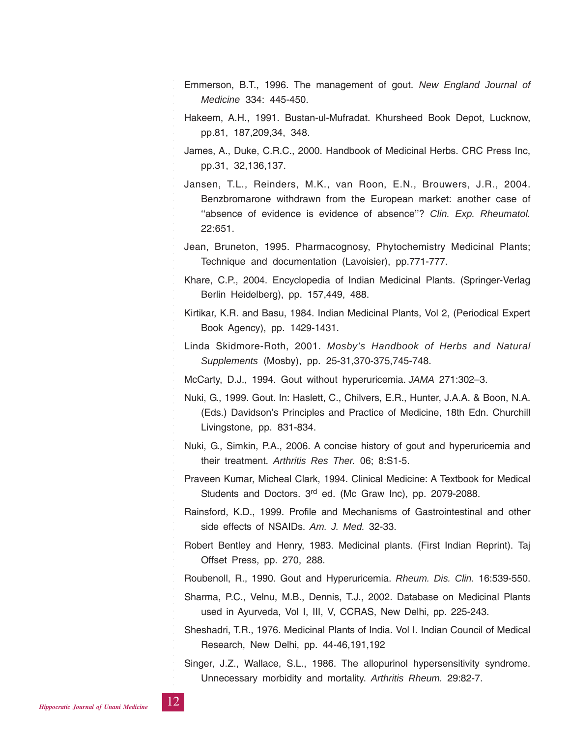- Emmerson, B.T., 1996. The management of gout. *New England Journal of Medicine* 334: 445-450.
- Hakeem, A.H., 1991. Bustan-ul-Mufradat. Khursheed Book Depot, Lucknow, pp.81, 187,209,34, 348.
- James, A., Duke, C.R.C., 2000. Handbook of Medicinal Herbs. CRC Press Inc, pp.31, 32,136,137.
- Jansen, T.L., Reinders, M.K., van Roon, E.N., Brouwers, J.R., 2004. Benzbromarone withdrawn from the European market: another case of "absence of evidence is evidence of absence"? Clin. Exp. Rheumatol. 22:651.
- Jean, Bruneton, 1995. Pharmacognosy, Phytochemistry Medicinal Plants; Technique and documentation (Lavoisier), pp.771-777.
- Khare, C.P., 2004. Encyclopedia of Indian Medicinal Plants. (Springer-Verlag Berlin Heidelberg), pp. 157,449, 488.
- Kirtikar, K.R. and Basu, 1984. Indian Medicinal Plants, Vol 2, (Periodical Expert Book Agency), pp. 1429-1431.
- Linda Skidmore-Roth, 2001. *Mosby's Handbook of Herbs and Natural Supplements* (Mosby), pp. 25-31,370-375,745-748.
- McCarty, D.J., 1994. Gout without hyperuricemia. *JAMA* 271:302–3.
- Nuki, G., 1999. Gout. In: Haslett, C., Chilvers, E.R., Hunter, J.A.A. & Boon, N.A. (Eds.) Davidson's Principles and Practice of Medicine, 18th Edn. Churchill Livingstone, pp. 831-834.
- Nuki, G., Simkin, P.A., 2006. A concise history of gout and hyperuricemia and their treatment. *Arthritis Res Ther.* 06; 8:S1-5.
- Praveen Kumar, Micheal Clark, 1994. Clinical Medicine: A Textbook for Medical Students and Doctors. 3<sup>rd</sup> ed. (Mc Graw Inc), pp. 2079-2088.
- Rainsford, K.D., 1999. Profile and Mechanisms of Gastrointestinal and other side effects of NSAIDs. *Am. J. Med.* 32-33.
- Robert Bentley and Henry, 1983. Medicinal plants. (First Indian Reprint). Taj Offset Press, pp. 270, 288.

Roubenoll, R., 1990. Gout and Hyperuricemia. *Rheum. Dis. Clin.* 16:539-550.

- Sharma, P.C., Velnu, M.B., Dennis, T.J., 2002. Database on Medicinal Plants used in Ayurveda, Vol I, III, V, CCRAS, New Delhi, pp. 225-243.
- Sheshadri, T.R., 1976. Medicinal Plants of India. Vol I. Indian Council of Medical Research, New Delhi, pp. 44-46,191,192
- Singer, J.Z., Wallace, S.L., 1986. The allopurinol hypersensitivity syndrome. Unnecessary morbidity and mortality. *Arthritis Rheum.* 29:82-7.



○○○○○○○○○○○○○○○○○○○○○○○○○○○

○○○○○○○○○○○○○○○○○○○○○○○○○○○○○○○○○○○○○○○○○○○○○○○○○○○○○○○○